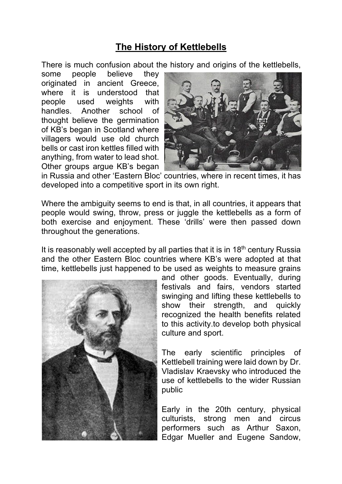## **The History of Kettlebells**

There is much confusion about the history and origins of the kettlebells,

some people believe they originated in ancient Greece, where it is understood that people used weights with handles. Another school of thought believe the germination of KB's began in Scotland where villagers would use old church bells or cast iron kettles filled with anything, from water to lead shot. Other groups argue KB's began



in Russia and other 'Eastern Bloc' countries, where in recent times, it has developed into a competitive sport in its own right.

Where the ambiguity seems to end is that, in all countries, it appears that people would swing, throw, press or juggle the kettlebells as a form of both exercise and enjoyment. These 'drills' were then passed down throughout the generations.

It is reasonably well accepted by all parties that it is in  $18<sup>th</sup>$  century Russia and the other Eastern Bloc countries where KB's were adopted at that time, kettlebells just happened to be used as weights to measure grains



and other goods. Eventually, during festivals and fairs, vendors started swinging and lifting these kettlebells to show their strength, and quickly recognized the health benefits related to this activity.to develop both physical culture and sport.

The early scientific principles of Kettlebell training were laid down by Dr. Vladislav Kraevsky who introduced the use of kettlebells to the wider Russian public

Early in the 20th century, physical culturists, strong men and circus performers such as Arthur Saxon, Edgar Mueller and Eugene Sandow,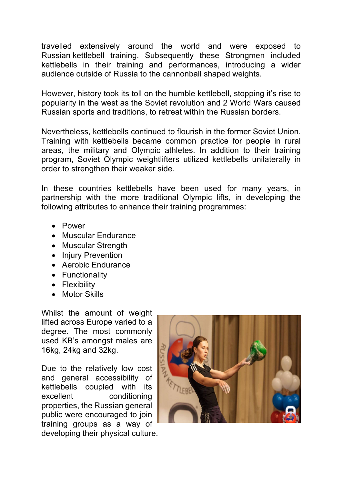travelled extensively around the world and were exposed to Russian kettlebell training. Subsequently these Strongmen included kettlebells in their training and performances, introducing a wider audience outside of Russia to the cannonball shaped weights.

However, history took its toll on the humble kettlebell, stopping it's rise to popularity in the west as the Soviet revolution and 2 World Wars caused Russian sports and traditions, to retreat within the Russian borders.

Nevertheless, kettlebells continued to flourish in the former Soviet Union. Training with kettlebells became common practice for people in rural areas, the military and Olympic athletes. In addition to their training program, Soviet Olympic weightlifters utilized kettlebells unilaterally in order to strengthen their weaker side.

In these countries kettlebells have been used for many years, in partnership with the more traditional Olympic lifts, in developing the following attributes to enhance their training programmes:

- Power
- Muscular Endurance
- Muscular Strength
- Injury Prevention
- Aerobic Endurance
- Functionality
- Flexibility
- Motor Skills

Whilst the amount of weight lifted across Europe varied to a degree. The most commonly used KB's amongst males are 16kg, 24kg and 32kg.

Due to the relatively low cost and general accessibility of kettlebells coupled with its excellent conditioning properties, the Russian general public were encouraged to join training groups as a way of developing their physical culture.